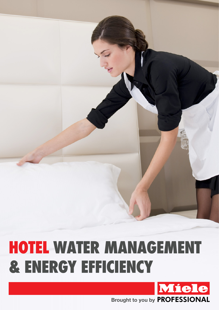# **HOTEL WATER MANAGEMENT & Energy Efficiency**

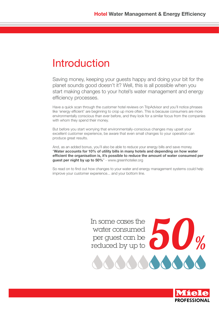#### Introduction

Saving money, keeping your guests happy and doing your bit for the planet sounds good doesn't it? Well, this is all possible when you start making changes to your hotel's water management and energy efficiency processes.

Have a quick scan through the customer hotel reviews on TripAdvisor and you'll notice phrases like 'energy efficient' are beginning to crop up more often. This is because consumers are more environmentally conscious than ever before, and they look for a similar focus from the companies with whom they spend their money.

But before you start worrying that environmentally-conscious changes may upset your excellent customer experience, be aware that even small changes to your operation can produce great results.

And, as an added bonus, you'll also be able to reduce your energy bills and save money. "**Water accounts for 10% of utility bills in many hotels and depending on how water efficient the organisation is, it's possible to reduce the amount of water consumed per guest per night by up to 50%**" - www.greenhotelier.org

So read on to find out how changes to your water and energy management systems could help improve your customer experience... and your bottom line.



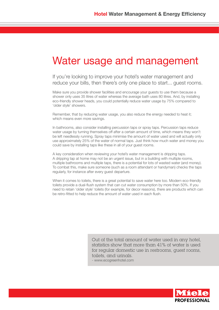#### Water usage and management

If you're looking to improve your hotel's water management and reduce your bills, then there's only one place to start... guest rooms.

Make sure you provide shower facilities and encourage your guests to use them because a shower only uses 35 litres of water whereas the average bath uses 80 litres. And, by installing eco-friendly shower heads, you could potentially reduce water usage by 75% compared to 'older style' showers.

Remember, that by reducing water usage, you also reduce the energy needed to heat it; which means even more savings.

In bathrooms, also consider installing percussion taps or spray taps. Percussion taps reduce water usage by turning themselves off after a certain amount of time, which means they won't be left needlessly running. Spray taps minimise the amount of water used and will actually only use approximately 25% of the water of normal taps. Just think how much water and money you could save by installing taps like these in all of your guest rooms.

A key consideration when reviewing your hotel's water management is dripping taps. A dripping tap at home may not be an urgent issue, but in a building with multiple rooms, multiple bathrooms and multiple taps, there is a potential for lots of wasted water (and money). To combat this, make sure someone (such as a room attendant or handyman) checks the taps regularly, for instance after every guest departure.

When it comes to toilets, there is a great potential to save water here too. Modern eco-friendly toilets provide a dual-flush system that can cut water consumption by more than 50%. If you need to retain 'older style' toilets (for example, for decor reasons), there are products which can be retro-fitted to help reduce the amount of water used in each flush.

> Out of the total amount of water used in any hotel, statistics show that more than 41% of water is used for regular domestic use in restrooms, guest rooms, toilets, and urinals.

- www.ecogreenhotel.com

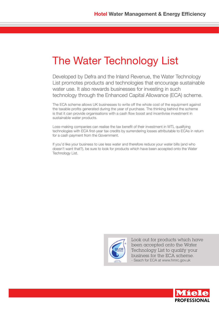### The Water Technology List

Developed by Defra and the Inland Revenue, the Water Technology List promotes products and technologies that encourage sustainable water use. It also rewards businesses for investing in such technology through the Enhanced Capital Allowance (ECA) scheme.

The ECA scheme allows UK businesses to write off the whole cost of the equipment against the taxable profits generated during the year of purchase. The thinking behind the scheme is that it can provide organisations with a cash flow boost and incentivise investment in sustainable water products.

Loss-making companies can realise the tax benefit of their investment in WTL qualifying technologies with ECA first-year tax credits by surrendering losses attributable to ECAs in return for a cash payment from the Government.

If you'd like your business to use less water and therefore reduce your water bills (and who doesn't want that?), be sure to look for products which have been accepted onto the Water Technology List.



Look out for products which have been accepted onto the Water Technology List to qualify your business for the ECA scheme. - Seach for ECA at www.hmrc.gov.uk

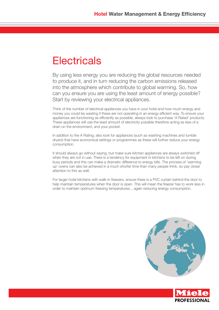#### **Electricals**

By using less energy you are reducing the global resources needed to produce it, and in turn reducing the carbon emissions released into the atmosphere which contribute to global warming. So, how can you ensure you are using the least amount of energy possible? Start by reviewing your electrical appliances.

Think of the number of electrical appliances you have in your hotel and how much energy and money you could be wasting if these are not operating in an energy efficient way. To ensure your appliances are functioning as efficiently as possible, always look to purchase 'A Rated' products. These appliances will use the least amount of electricity possible therefore acting as less of a drain on the environment, and your pocket.

In addition to the A Rating, also look for appliances (such as washing machines and tumble dryers) that have economical settings or programmes as these will further reduce your energy consumption.

It should always go without saying, but make sure kitchen appliances are always switched off when they are not in use. There is a tendency for equipment in kitchens to be left on during busy periods and this can make a dramatic difference to energy bills. The process of 'warming up' ovens can also be achieved in a much shorter time than many people think, so pay closer attention to this as well.

For larger hotel kitchens with walk-in freezers, ensure there is a PVC curtain behind the door to help maintain temperatures when the door is open. This will mean the freezer has to work less in order to maintain optimum freezing temperatures... again reducing energy consumption.



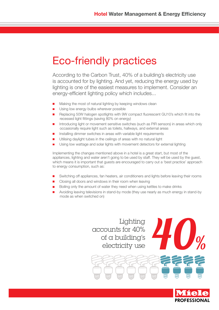#### Eco-friendly practices

According to the Carbon Trust, 40% of a building's electricity use is accounted for by lighting. And yet, reducing the energy used by lighting is one of the easiest measures to implement. Consider an energy-efficient lighting policy which includes...

- Making the most of natural lighting by keeping windows clean
- **Using low energy bulbs wherever possible**
- Replacing 50W halogen spotlights with 9W compact fluorescent GU10's which fit into the recessed light fittings (saving 80% on energy)
- Introducing light or movement sensitive switches (such as PIR sensors) in areas which only occasionally require light such as toilets, hallways, and external areas
- Installing dimmer switches in areas with variable light requirements
- Utilising daylight tubes in the ceilings of areas with no natural light
- Using low wattage and solar lights with movement detectors for external lighting

Implementing the changes mentioned above in a hotel is a great start, but most of the appliances, lighting and water aren't going to be used by staff. They will be used by the guest, which means it is important that guests are encouraged to carry out a 'best practice' approach to energy consumption, such as:

- Switching off appliances, fan heaters, air conditioners and lights before leaving their rooms
- Closing all doors and windows in their room when leaving
- Boiling only the amount of water they need when using kettles to make drinks
- **Avoiding leaving televisions in stand-by mode (they use nearly as much energy in stand-by** mode as when switched on)



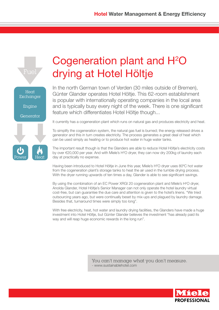

## Cogeneration plant and H<sup>2</sup>O drying at Hotel Höltje

In the north German town of Verden (30 miles outside of Bremen), Günter Glander operates Hotel Höltje. This 62-room establishment is popular with internationally operating companies in the local area and is typically busy every night of the week. There is one significant feature which differentiates Hotel Höltje though...

It currently has a cogeneration plant which runs on natural gas and produces electricity and heat.

To simplify the cogeneration system, the natural gas fuel is burned; the energy released drives a generator and this in turn creates electricity. The process generates a great deal of heat which can be used simply as heating or to produce hot water in huge water tanks.

The important result though is that the Glanders are able to reduce Hotel Höltje's electricity costs by over €20,000 per year. And with Miele's HºO dryer, they can now dry 200kg of laundry each day at practically no expense.

Having been introduced to Hotel Höltje in June this year, Miele's H<sup>2</sup>O dryer uses 80°C hot water from the cogeneration plant's storage tanks to heat the air used in the tumble drying process. With the dryer running upwards of ten times a day, Glander is able to see significant savings.

By using the combination of an EC Power XRGI 20 cogeneration plant and Miele's H<sup>2</sup>O dryer, Anolda Glander, Hotel Höltje's Senior Manager can not only operate the hotel laundry virtual cost-free, but can guarantee the due care and attention is given to the hotel's linens. "We tried outsourcing years ago, but were continually beset by mix-ups and plagued by laundry damage. Besides that, turnaround times were simply too long".

With free electricity, heat, hot water and laundry drying facilities, the Glanders have made a huge investment into Hotel Höltje, but Günter Glander believes the investment "has already paid its way and will reap huge economic rewards in the long run".

> You can't manage what you don't measure. - www.sustainablehotel.com